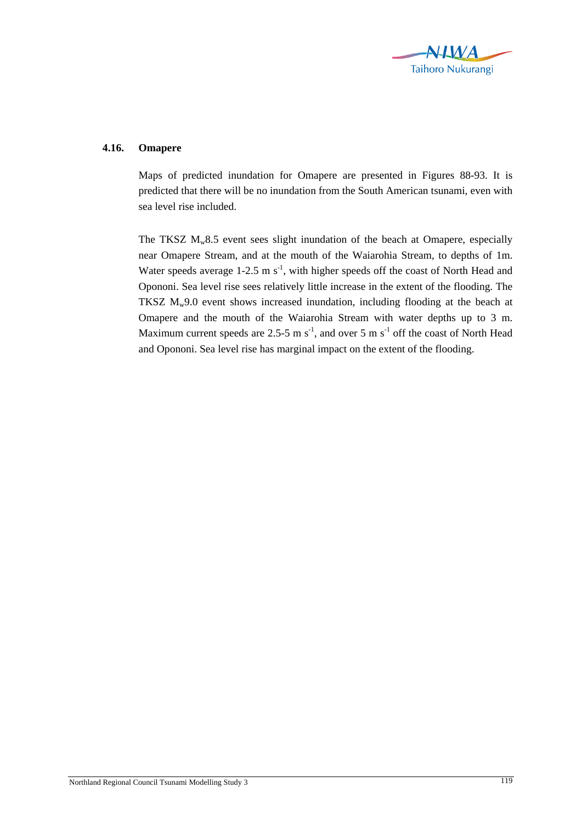

## **4.16. Omapere**

Maps of predicted inundation for Omapere are presented in Figures 88-93. It is predicted that there will be no inundation from the South American tsunami, even with sea level rise included.

The TKSZ  $M_w8.5$  event sees slight inundation of the beach at Omapere, especially near Omapere Stream, and at the mouth of the Waiarohia Stream, to depths of 1m. Water speeds average  $1-2.5 \text{ m s}^{-1}$ , with higher speeds off the coast of North Head and Opononi. Sea level rise sees relatively little increase in the extent of the flooding. The TKSZ  $M_w9.0$  event shows increased inundation, including flooding at the beach at Omapere and the mouth of the Waiarohia Stream with water depths up to 3 m. Maximum current speeds are 2.5-5 m  $s^{-1}$ , and over 5 m  $s^{-1}$  off the coast of North Head and Opononi. Sea level rise has marginal impact on the extent of the flooding.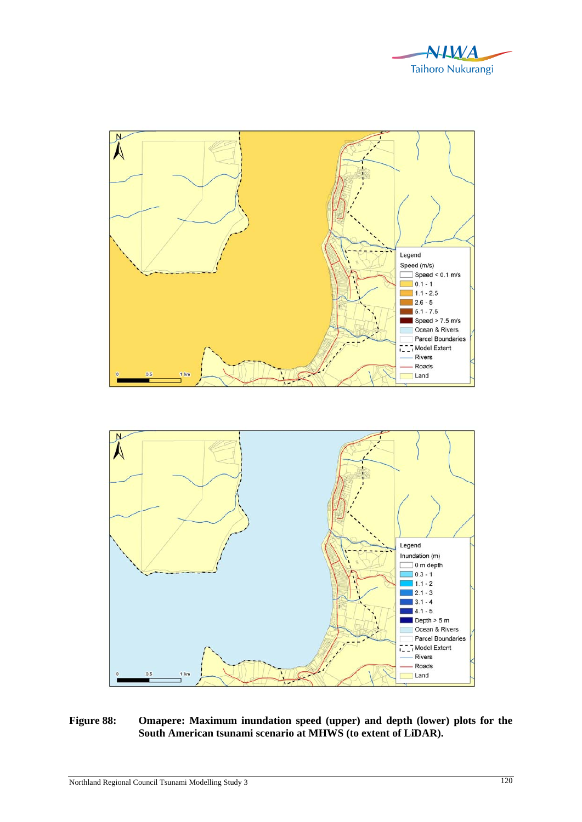





**Figure 88: Omapere: Maximum inundation speed (upper) and depth (lower) plots for the South American tsunami scenario at MHWS (to extent of LiDAR).**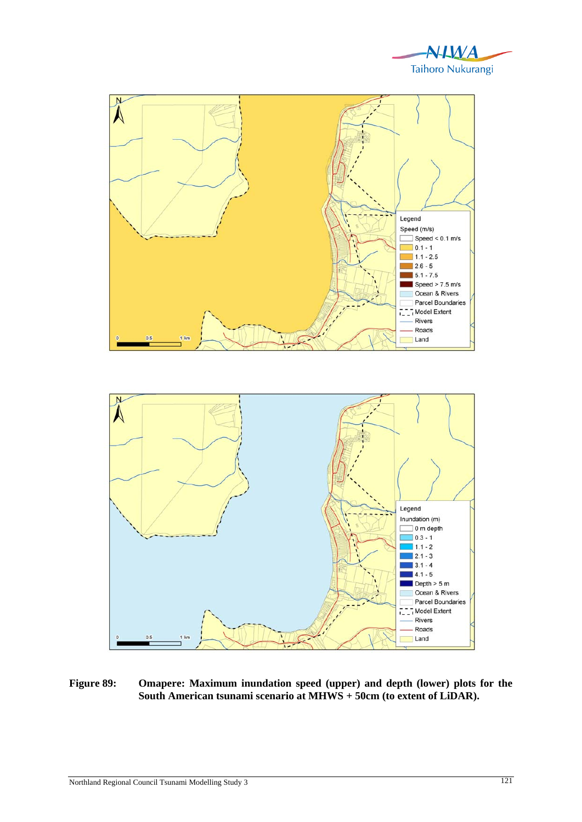





**Figure 89: Omapere: Maximum inundation speed (upper) and depth (lower) plots for the South American tsunami scenario at MHWS + 50cm (to extent of LiDAR).**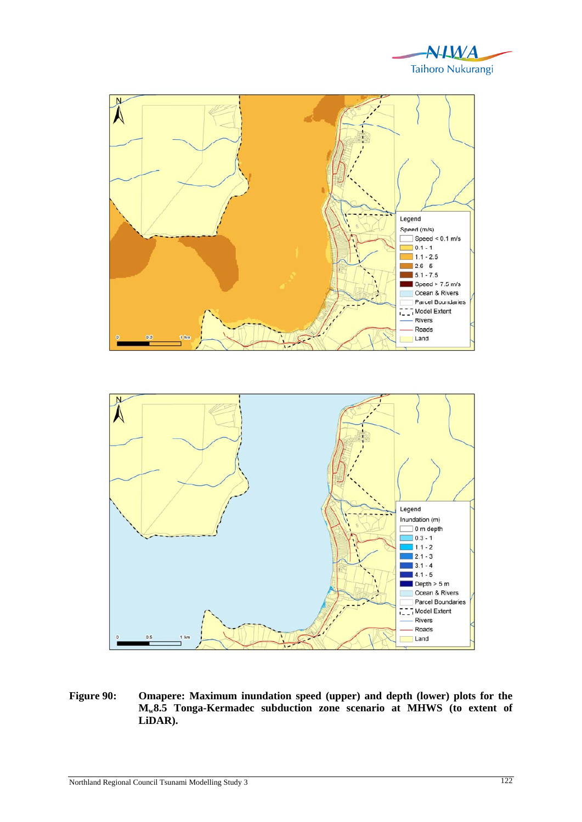





**Figure 90: Omapere: Maximum inundation speed (upper) and depth (lower) plots for the Mw8.5 Tonga-Kermadec subduction zone scenario at MHWS (to extent of LiDAR).**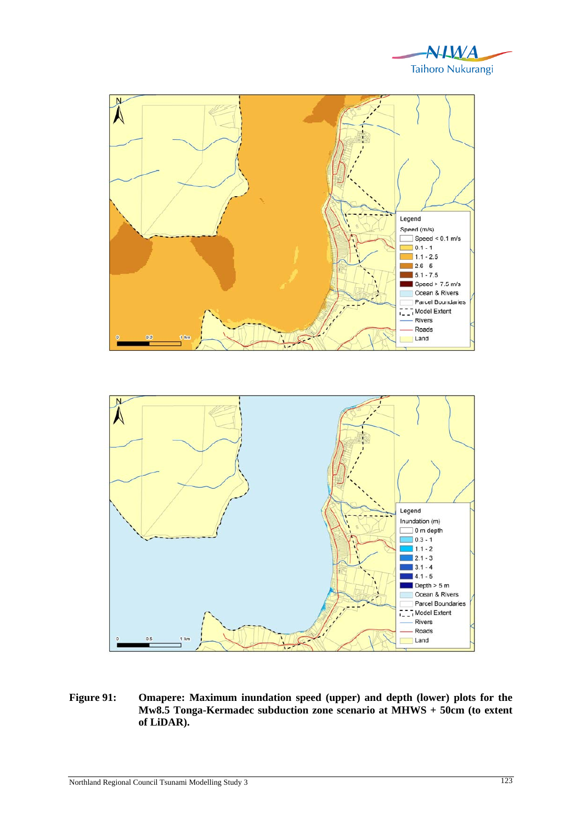





**Figure 91: Omapere: Maximum inundation speed (upper) and depth (lower) plots for the Mw8.5 Tonga-Kermadec subduction zone scenario at MHWS + 50cm (to extent of LiDAR).**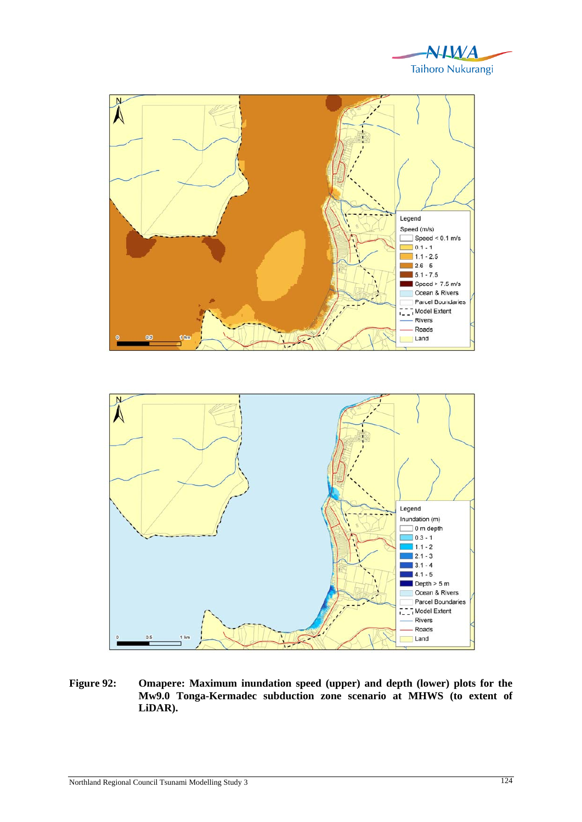





**Figure 92: Omapere: Maximum inundation speed (upper) and depth (lower) plots for the Mw9.0 Tonga-Kermadec subduction zone scenario at MHWS (to extent of LiDAR).**